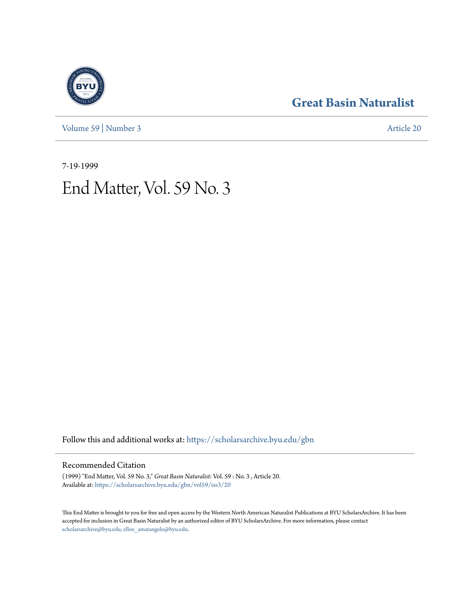[Volume 59](https://scholarsarchive.byu.edu/gbn/vol59?utm_source=scholarsarchive.byu.edu%2Fgbn%2Fvol59%2Fiss3%2F20&utm_medium=PDF&utm_campaign=PDFCoverPages) | [Number 3](https://scholarsarchive.byu.edu/gbn/vol59/iss3?utm_source=scholarsarchive.byu.edu%2Fgbn%2Fvol59%2Fiss3%2F20&utm_medium=PDF&utm_campaign=PDFCoverPages) [Article 20](https://scholarsarchive.byu.edu/gbn/vol59/iss3/20?utm_source=scholarsarchive.byu.edu%2Fgbn%2Fvol59%2Fiss3%2F20&utm_medium=PDF&utm_campaign=PDFCoverPages)

### **[Great Basin Naturalist](https://scholarsarchive.byu.edu/gbn?utm_source=scholarsarchive.byu.edu%2Fgbn%2Fvol59%2Fiss3%2F20&utm_medium=PDF&utm_campaign=PDFCoverPages)**

7-19-1999

# End Matter, Vol. 59 No. 3

Follow this and additional works at: [https://scholarsarchive.byu.edu/gbn](https://scholarsarchive.byu.edu/gbn?utm_source=scholarsarchive.byu.edu%2Fgbn%2Fvol59%2Fiss3%2F20&utm_medium=PDF&utm_campaign=PDFCoverPages)

#### Recommended Citation

(1999) "End Matter, Vol. 59 No. 3," *Great Basin Naturalist*: Vol. 59 : No. 3 , Article 20. Available at: [https://scholarsarchive.byu.edu/gbn/vol59/iss3/20](https://scholarsarchive.byu.edu/gbn/vol59/iss3/20?utm_source=scholarsarchive.byu.edu%2Fgbn%2Fvol59%2Fiss3%2F20&utm_medium=PDF&utm_campaign=PDFCoverPages)

This End Matter is brought to you for free and open access by the Western North American Naturalist Publications at BYU ScholarsArchive. It has been accepted for inclusion in Great Basin Naturalist by an authorized editor of BYU ScholarsArchive. For more information, please contact [scholarsarchive@byu.edu, ellen\\_amatangelo@byu.edu.](mailto:scholarsarchive@byu.edu,%20ellen_amatangelo@byu.edu)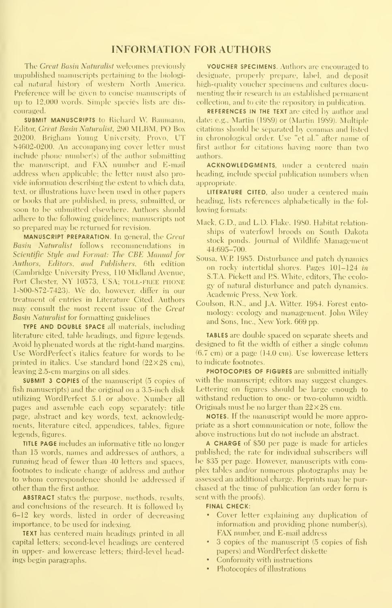#### INFORMATION FOR AUTHORS

The Great Basin Naturalist welcomes previously unpublished manuscripts pertaining to the biologieal natural histon of western North Anieriea. Preference will be given to concise manuscripts of up to  $12,000$  words. Simple species lists are discouraged.

SUBMIT MANUSCRIPTS to Richard W. Baumann. Editor, Great Basin Naturalist, 290 MLBM, PO Box 20200, Brigham Young University, Provo, UT 84602-0200. An accompanying cover letter must include phone number(s) of the author submitting the manuscript, and FAX number and E-mail address when applicable; the letter must also pro vide information describing the extent to which data, text, or illustrations have been used in other papers or books that are published, in press, submitted, or soon to be submitted elsewhere. Authors should adhere to the following guidelines; manuscripts not so prepared may be returned for revision.

MANUSCRIPT PREPARATION. In general, the Great Basin Naturalist follows recommendations in Scientific Style and Format: The CBE Manual for Authors. Editors, and Publishers, 6th edition (Cambridge University Press, 110 Midland Avenue, Port Chester, NY 10573, USA; TOLL-FREE PHONE 1-800-872-7423). We do, however, differ in our treatment of entries in Literature Cited. Authors may consult the most recent issue of the Great **Basin Naturalist for formatting guidelines** 

TYPE AND DOUBLE SPACE all materials, including literature cited, table headings, and figure legends. Avoid hyphenated words at the right-hand margins. Use WordPerfect's italics feature for words to be printed in italies. Use standard bond  $(22\times28$  cm), leaving 2.5-cm margins on all sides.

SUBMIT 3 COPIES of the manuscript (5 copies of fish manuscripts) and the original on a 3.5-inch disk utilizing WordPerfect 5.1 or above. Number all pages and assemble each copy separately: title page, abstract and key words, text, acknowledgments, literature cited, appendices, tables, figure legends, figures.

TITLE PAGE includes an informative title no longer than 15 words, names and addresses of authors, a running head of fewer than 40 letters and spaces, footnotes to indicate change of address and author to whom correspondence should be addressed if other than the first author.

ABSTRACT states the purpose, methods, results, and conclusions of the research. It is followed by 6-12 key words, listed in order of decreasing importance, to be used for indexing.

TEXT has centered main headings printed in all capital letters; second-level headings are centered in upper- and lowercase letters; third-level headings begin paragraphs.

VOUCHER SPECIMENS. Authors are encouraged to designate, properly prepare, label, and deposit high-quality voucher specimens and cultures documenting their research in an established permanent collection, and to cite the repository in publication.

REFERENCES IN THE TEXT are cited by author and date: e.g., Martin (1989) or (Mariin 1989). Multiple citations should be separated by commas and listed in chronological order. Use "et al." after name of first author for citations having more than two authors.

ACKNOWLEDGMENTS, under a centered main heading, include special publication numbers when appropriate.

LITERATURE CITED, also under a centered main heading, lists references alphabetically in the fol lowing formats:

- Mack, CD., and L.D. Flake. 1980. Habitat relation ships of waterfowl broods on South Dakota stock ponds. Journal of Wildlife Management 44:695-700.
- Sousa, WP 1985. Disturbance and patch dynamics on rock\' intertidal shores. Pages 101-124 in S.T.A. Pickett and PS. White, editors. The ecolo gy of natural disturbance and patch dynamics. Academic Press, New York.
- Coulson, R.N., and J.A. Witter. 1984. Forest ento mology: ecology and management. John Wiley and Sons, Inc., New York. 669 pp.

TABLES are double spaced on separate sheets and designed to fit the width of either a single column  $(6.7 \text{ cm})$  or a page  $(14.0 \text{ cm})$ . Use lowercase letters to indicate footnotes.

PHOTOCOPIES OF FIGURES are submitted initially with the manuscript; editors may suggest changes. Lettering on figures should be large enough to withstand reduction to one- or two-column width. Originals must be no larger than  $22\times28$  cm.

NOTES. If the manuscript would be more appropriate as a short commimication or note, follow the above instructions but do not include an abstract.

A CHARGE of \$50 per page is made for articles published; the rate for individual subscribers will be \$35 per page. However, manuscripts with complex tables and/or numerous photographs may be assessed an additional charge. Reprints may be pur chased at the time of publication (an order form is sent with the proofs).

#### FINAL CHECK:

- Cover letter explaining any duplication of information and providing phone number(s), FAX number, and E-mail address
- 3 copies of the manuscript (5 copies of fish papers) and WordPerfect diskette
- Conformity with instructions
- Photocopies of illustrations